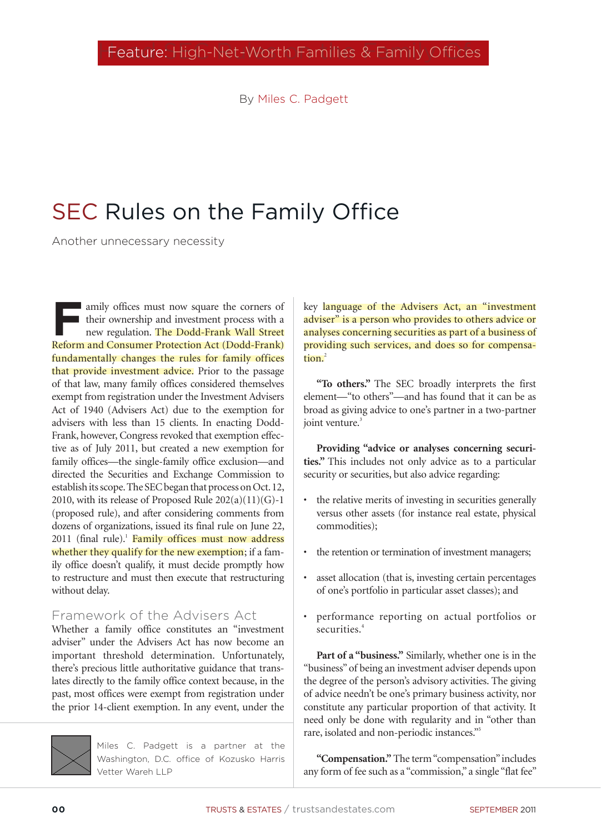By Miles C. Padgett

# SEC Rules on the Family Office

Another unnecessary necessity

**F**amily offices must now square the corners of their ownership and investment process with a new regulation. The Dodd-Frank Wall Street Reform and Consumer Protection Act (Dodd-Frank) fundamentally changes the rules for family offices that provide investment advice. Prior to the passage of that law, many family offices considered themselves exempt from registration under the Investment Advisers Act of 1940 (Advisers Act) due to the exemption for advisers with less than 15 clients. In enacting Dodd-Frank, however, Congress revoked that exemption effective as of July 2011, but created a new exemption for family offices—the single-family office exclusion—and directed the Securities and Exchange Commission to establish its scope. The SEC began that process on Oct. 12, 2010, with its release of Proposed Rule  $202(a)(11)(G)-1$ (proposed rule), and after considering comments from dozens of organizations, issued its final rule on June 22, 2011 (final rule).<sup>1</sup> Family offices must now address whether they qualify for the new exemption; if a family office doesn't qualify, it must decide promptly how to restructure and must then execute that restructuring without delay.

### Framework of the Advisers Act

Whether a family office constitutes an "investment adviser" under the Advisers Act has now become an important threshold determination. Unfortunately, there's precious little authoritative guidance that translates directly to the family office context because, in the past, most offices were exempt from registration under the prior 14-client exemption. In any event, under the



Miles C. Padgett is a partner at the Washington, D.C. office of Kozusko Harris Vetter Wareh LLP

key language of the Advisers Act, an "investment adviser" is a person who provides to others advice or analyses concerning securities as part of a business of providing such services, and does so for compensation.<sup>2</sup>

**"To others."** The SEC broadly interprets the first element—"to others"—and has found that it can be as broad as giving advice to one's partner in a two-partner joint venture.<sup>3</sup>

**Providing "advice or analyses concerning securities."** This includes not only advice as to a particular security or securities, but also advice regarding:

- the relative merits of investing in securities generally versus other assets (for instance real estate, physical commodities);
- the retention or termination of investment managers;
- asset allocation (that is, investing certain percentages of one's portfolio in particular asset classes); and
- performance reporting on actual portfolios or securities.<sup>4</sup>

**Part of a "business."** Similarly, whether one is in the "business" of being an investment adviser depends upon the degree of the person's advisory activities. The giving of advice needn't be one's primary business activity, nor constitute any particular proportion of that activity. It need only be done with regularity and in "other than rare, isolated and non-periodic instances."5

**"Compensation."** The term "compensation" includes any form of fee such as a "commission," a single "flat fee"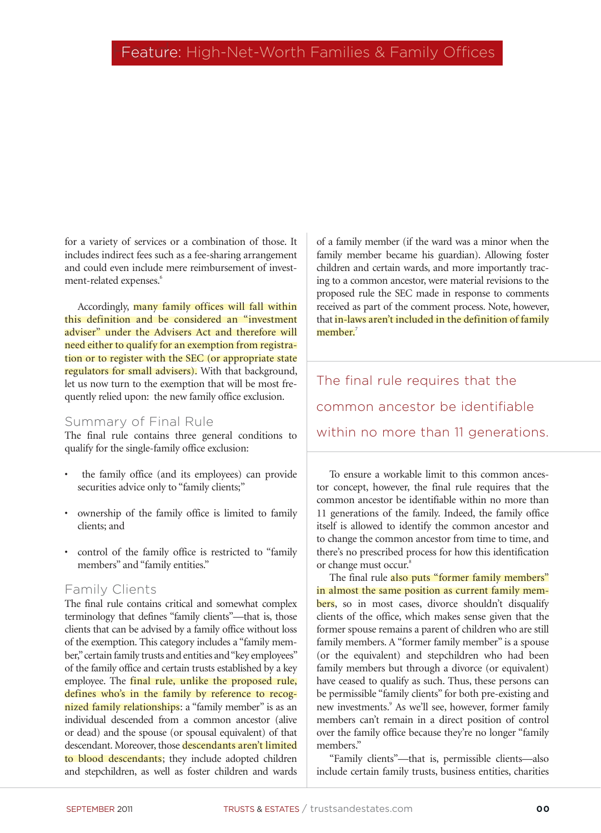for a variety of services or a combination of those. It includes indirect fees such as a fee-sharing arrangement and could even include mere reimbursement of investment-related expenses.<sup>6</sup>

Accordingly, many family offices will fall within this definition and be considered an "investment adviser" under the Advisers Act and therefore will need either to qualify for an exemption from registration or to register with the SEC (or appropriate state regulators for small advisers). With that background, let us now turn to the exemption that will be most frequently relied upon: the new family office exclusion.

#### Summary of Final Rule

The final rule contains three general conditions to qualify for the single-family office exclusion:

- the family office (and its employees) can provide securities advice only to "family clients;"
- ownership of the family office is limited to family clients; and
- control of the family office is restricted to "family members" and "family entities."

#### Family Clients

The final rule contains critical and somewhat complex terminology that defines "family clients"—that is, those clients that can be advised by a family office without loss of the exemption. This category includes a "family member," certain family trusts and entities and "key employees" of the family office and certain trusts established by a key employee. The final rule, unlike the proposed rule, defines who's in the family by reference to recognized family relationships: a "family member" is as an individual descended from a common ancestor (alive or dead) and the spouse (or spousal equivalent) of that descendant. Moreover, those descendants aren't limited to blood descendants; they include adopted children and stepchildren, as well as foster children and wards of a family member (if the ward was a minor when the family member became his guardian). Allowing foster children and certain wards, and more importantly tracing to a common ancestor, were material revisions to the proposed rule the SEC made in response to comments received as part of the comment process. Note, however, that in-laws aren't included in the definition of family member $^7$ 

The final rule requires that the common ancestor be identifiable within no more than 11 generations.

To ensure a workable limit to this common ancestor concept, however, the final rule requires that the common ancestor be identifiable within no more than 11 generations of the family. Indeed, the family office itself is allowed to identify the common ancestor and to change the common ancestor from time to time, and there's no prescribed process for how this identification or change must occur.<sup>8</sup>

The final rule also puts "former family members" in almost the same position as current family members, so in most cases, divorce shouldn't disqualify clients of the office, which makes sense given that the former spouse remains a parent of children who are still family members. A "former family member" is a spouse (or the equivalent) and stepchildren who had been family members but through a divorce (or equivalent) have ceased to qualify as such. Thus, these persons can be permissible "family clients" for both pre-existing and new investments.<sup>9</sup> As we'll see, however, former family members can't remain in a direct position of control over the family office because they're no longer "family members."

"Family clients"—that is, permissible clients—also include certain family trusts, business entities, charities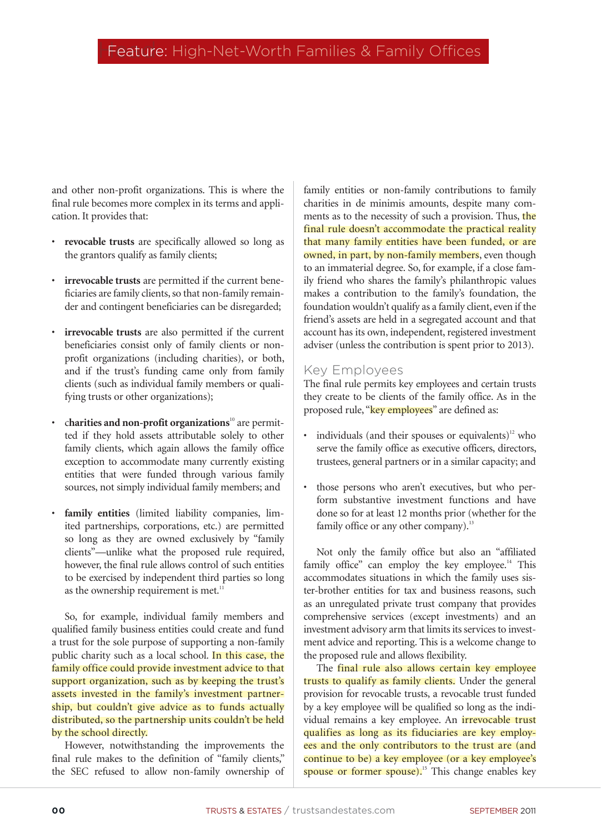and other non-profit organizations. This is where the final rule becomes more complex in its terms and application. It provides that:

- **revocable trusts** are specifically allowed so long as the grantors qualify as family clients;
- **irrevocable trusts** are permitted if the current beneficiaries are family clients, so that non-family remainder and contingent beneficiaries can be disregarded;
- **irrevocable trusts** are also permitted if the current beneficiaries consist only of family clients or nonprofit organizations (including charities), or both, and if the trust's funding came only from family clients (such as individual family members or qualifying trusts or other organizations);
- charities and non-profit organizations<sup>10</sup> are permitted if they hold assets attributable solely to other family clients, which again allows the family office exception to accommodate many currently existing entities that were funded through various family sources, not simply individual family members; and
- **family entities** (limited liability companies, limited partnerships, corporations, etc.) are permitted so long as they are owned exclusively by "family clients"—unlike what the proposed rule required, however, the final rule allows control of such entities to be exercised by independent third parties so long as the ownership requirement is met. $11$

So, for example, individual family members and qualified family business entities could create and fund a trust for the sole purpose of supporting a non-family public charity such as a local school. In this case, the family office could provide investment advice to that support organization, such as by keeping the trust's assets invested in the family's investment partnership, but couldn't give advice as to funds actually distributed, so the partnership units couldn't be held by the school directly.

However, notwithstanding the improvements the final rule makes to the definition of "family clients," the SEC refused to allow non-family ownership of family entities or non-family contributions to family charities in de minimis amounts, despite many comments as to the necessity of such a provision. Thus, the final rule doesn't accommodate the practical reality that many family entities have been funded, or are owned, in part, by non-family members, even though to an immaterial degree. So, for example, if a close family friend who shares the family's philanthropic values makes a contribution to the family's foundation, the foundation wouldn't qualify as a family client, even if the friend's assets are held in a segregated account and that account has its own, independent, registered investment adviser (unless the contribution is spent prior to 2013).

#### Key Employees

The final rule permits key employees and certain trusts they create to be clients of the family office. As in the proposed rule, "key employees" are defined as:

- individuals (and their spouses or equivalents)<sup>12</sup> who serve the family office as executive officers, directors, trustees, general partners or in a similar capacity; and
- those persons who aren't executives, but who perform substantive investment functions and have done so for at least 12 months prior (whether for the family office or any other company).<sup>13</sup>

Not only the family office but also an "affiliated family office" can employ the key employee.<sup>14</sup> This accommodates situations in which the family uses sister-brother entities for tax and business reasons, such as an unregulated private trust company that provides comprehensive services (except investments) and an investment advisory arm that limits its services to investment advice and reporting. This is a welcome change to the proposed rule and allows flexibility.

The final rule also allows certain key employee trusts to qualify as family clients. Under the general provision for revocable trusts, a revocable trust funded by a key employee will be qualified so long as the individual remains a key employee. An *irrevocable trust* qualifies as long as its fiduciaries are key employees and the only contributors to the trust are (and continue to be) a key employee (or a key employee's spouse or former spouse).<sup>15</sup> This change enables key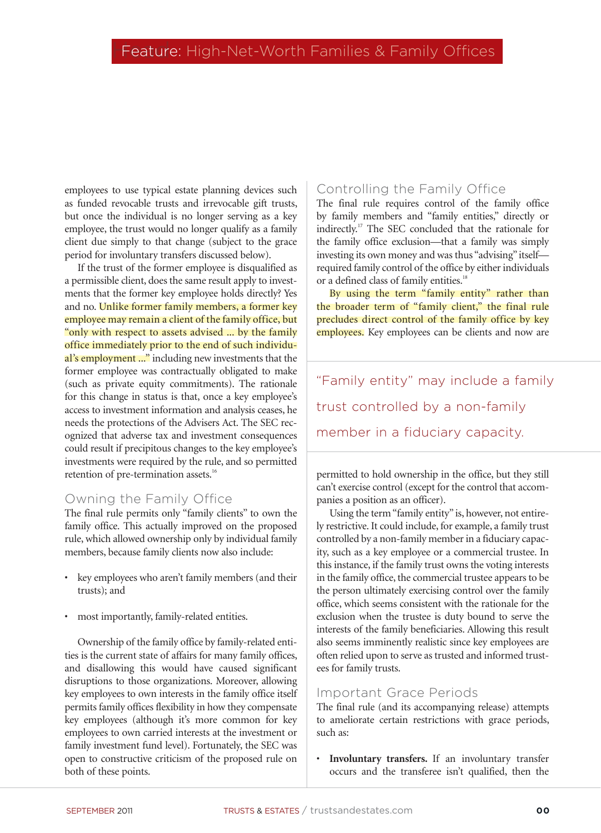employees to use typical estate planning devices such as funded revocable trusts and irrevocable gift trusts, but once the individual is no longer serving as a key employee, the trust would no longer qualify as a family client due simply to that change (subject to the grace period for involuntary transfers discussed below).

If the trust of the former employee is disqualified as a permissible client, does the same result apply to investments that the former key employee holds directly? Yes and no. Unlike former family members, a former key employee may remain a client of the family office, but "only with respect to assets advised ... by the family office immediately prior to the end of such individual's employment ..." including new investments that the former employee was contractually obligated to make (such as private equity commitments). The rationale for this change in status is that, once a key employee's access to investment information and analysis ceases, he needs the protections of the Advisers Act. The SEC recognized that adverse tax and investment consequences could result if precipitous changes to the key employee's investments were required by the rule, and so permitted retention of pre-termination assets.<sup>16</sup>

#### Owning the Family Office

The final rule permits only "family clients" to own the family office. This actually improved on the proposed rule, which allowed ownership only by individual family members, because family clients now also include:

- key employees who aren't family members (and their trusts); and
- most importantly, family-related entities.

Ownership of the family office by family-related entities is the current state of affairs for many family offices, and disallowing this would have caused significant disruptions to those organizations. Moreover, allowing key employees to own interests in the family office itself permits family offices flexibility in how they compensate key employees (although it's more common for key employees to own carried interests at the investment or family investment fund level). Fortunately, the SEC was open to constructive criticism of the proposed rule on both of these points.

### Controlling the Family Office

The final rule requires control of the family office by family members and "family entities," directly or indirectly.17 The SEC concluded that the rationale for the family office exclusion—that a family was simply investing its own money and was thus "advising" itself required family control of the office by either individuals or a defined class of family entities.<sup>18</sup>

By using the term "family entity" rather than the broader term of "family client," the final rule precludes direct control of the family office by key employees. Key employees can be clients and now are

"Family entity" may include a family trust controlled by a non-family member in a fiduciary capacity.

permitted to hold ownership in the office, but they still can't exercise control (except for the control that accompanies a position as an officer).

Using the term "family entity" is, however, not entirely restrictive. It could include, for example, a family trust controlled by a non-family member in a fiduciary capacity, such as a key employee or a commercial trustee. In this instance, if the family trust owns the voting interests in the family office, the commercial trustee appears to be the person ultimately exercising control over the family office, which seems consistent with the rationale for the exclusion when the trustee is duty bound to serve the interests of the family beneficiaries. Allowing this result also seems imminently realistic since key employees are often relied upon to serve as trusted and informed trustees for family trusts.

#### Important Grace Periods

The final rule (and its accompanying release) attempts to ameliorate certain restrictions with grace periods, such as:

• **Involuntary transfers.** If an involuntary transfer occurs and the transferee isn't qualified, then the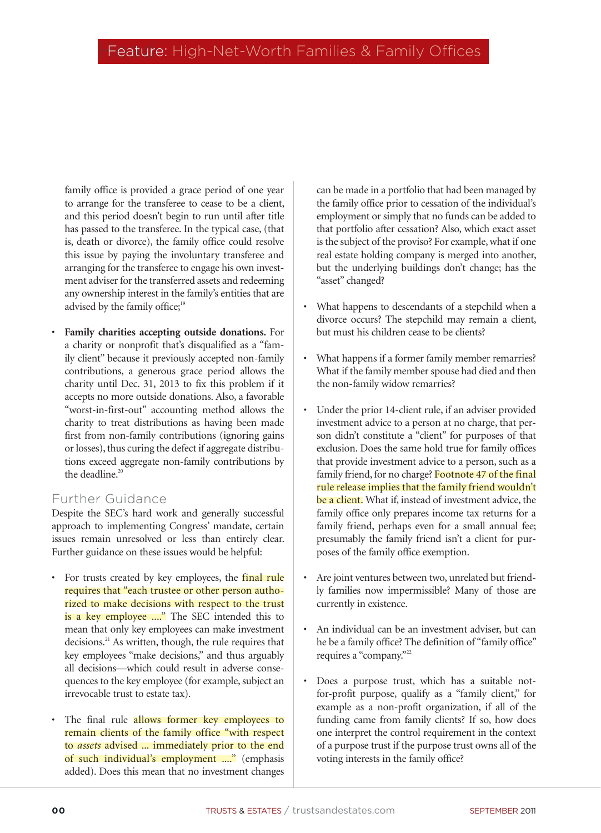family office is provided a grace period of one year to arrange for the transferee to cease to be a client, and this period doesn't begin to run until after title has passed to the transferee. In the typical case, (that is, death or divorce), the family office could resolve this issue by paying the involuntary transferee and arranging for the transferee to engage his own investment adviser for the transferred assets and redeeming any ownership interest in the family's entities that are advised by the family office;<sup>19</sup>

• **Family charities accepting outside donations.** For a charity or nonprofit that's disqualified as a "family client" because it previously accepted non-family contributions, a generous grace period allows the charity until Dec. 31, 2013 to fix this problem if it accepts no more outside donations. Also, a favorable "worst-in-first-out" accounting method allows the charity to treat distributions as having been made first from non-family contributions (ignoring gains or losses), thus curing the defect if aggregate distributions exceed aggregate non-family contributions by the deadline. $20$ 

### Further Guidance

Despite the SEC's hard work and generally successful approach to implementing Congress' mandate, certain issues remain unresolved or less than entirely clear. Further guidance on these issues would be helpful:

- For trusts created by key employees, the final rule requires that "each trustee or other person authorized to make decisions with respect to the trust is a key employee ...." The SEC intended this to mean that only key employees can make investment decisions.<sup>21</sup> As written, though, the rule requires that key employees "make decisions," and thus arguably all decisions—which could result in adverse consequences to the key employee (for example, subject an irrevocable trust to estate tax).
- The final rule allows former key employees to remain clients of the family office "with respect to *assets* advised ... immediately prior to the end of such individual's employment ...." (emphasis added). Does this mean that no investment changes

can be made in a portfolio that had been managed by the family office prior to cessation of the individual's employment or simply that no funds can be added to that portfolio after cessation? Also, which exact asset is the subject of the proviso? For example, what if one real estate holding company is merged into another, but the underlying buildings don't change; has the "asset" changed?

- What happens to descendants of a stepchild when a divorce occurs? The stepchild may remain a client, but must his children cease to be clients?
- What happens if a former family member remarries? What if the family member spouse had died and then the non-family widow remarries?
- Under the prior 14-client rule, if an adviser provided investment advice to a person at no charge, that person didn't constitute a "client" for purposes of that exclusion. Does the same hold true for family offices that provide investment advice to a person, such as a family friend, for no charge? Footnote 47 of the final rule release implies that the family friend wouldn't be a client. What if, instead of investment advice, the family office only prepares income tax returns for a family friend, perhaps even for a small annual fee; presumably the family friend isn't a client for purposes of the family office exemption.
- Are joint ventures between two, unrelated but friendly families now impermissible? Many of those are currently in existence.
- An individual can be an investment adviser, but can he be a family office? The definition of "family office" requires a "company."<sup>22</sup>
- Does a purpose trust, which has a suitable notfor-profit purpose, qualify as a "family client," for example as a non-profit organization, if all of the funding came from family clients? If so, how does one interpret the control requirement in the context of a purpose trust if the purpose trust owns all of the voting interests in the family office?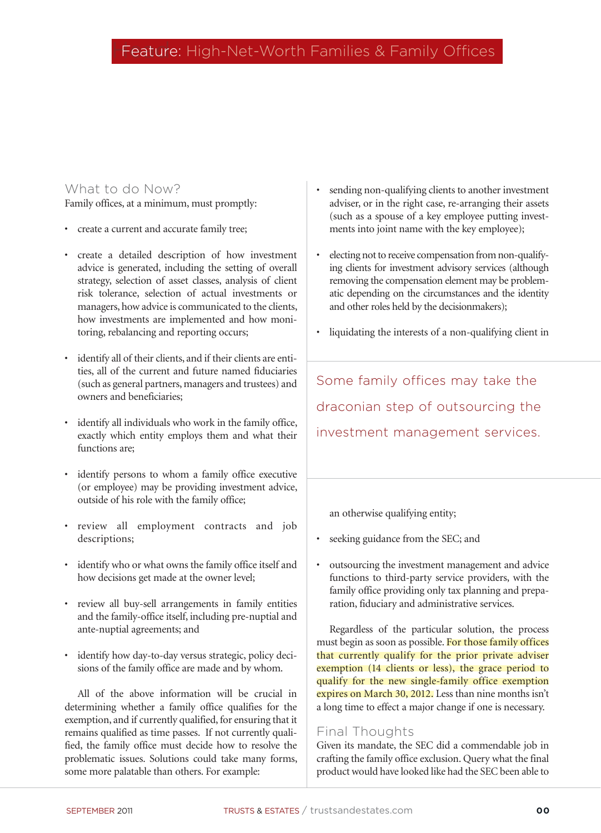### What to do Now?

Family offices, at a minimum, must promptly:

- create a current and accurate family tree;
- create a detailed description of how investment advice is generated, including the setting of overall strategy, selection of asset classes, analysis of client risk tolerance, selection of actual investments or managers, how advice is communicated to the clients, how investments are implemented and how monitoring, rebalancing and reporting occurs;
- identify all of their clients, and if their clients are entities, all of the current and future named fiduciaries (such as general partners, managers and trustees) and owners and beneficiaries;
- identify all individuals who work in the family office, exactly which entity employs them and what their functions are;
- identify persons to whom a family office executive (or employee) may be providing investment advice, outside of his role with the family office;
- review all employment contracts and job descriptions;
- identify who or what owns the family office itself and how decisions get made at the owner level;
- review all buy-sell arrangements in family entities and the family-office itself, including pre-nuptial and ante-nuptial agreements; and
- identify how day-to-day versus strategic, policy decisions of the family office are made and by whom.

All of the above information will be crucial in determining whether a family office qualifies for the exemption, and if currently qualified, for ensuring that it remains qualified as time passes. If not currently qualified, the family office must decide how to resolve the problematic issues. Solutions could take many forms, some more palatable than others. For example:

- sending non-qualifying clients to another investment adviser, or in the right case, re-arranging their assets (such as a spouse of a key employee putting investments into joint name with the key employee);
- electing not to receive compensation from non-qualifying clients for investment advisory services (although removing the compensation element may be problematic depending on the circumstances and the identity and other roles held by the decisionmakers);
- liquidating the interests of a non-qualifying client in

Some family offices may take the draconian step of outsourcing the investment management services.

an otherwise qualifying entity;

- seeking guidance from the SEC; and
- outsourcing the investment management and advice functions to third-party service providers, with the family office providing only tax planning and preparation, fiduciary and administrative services.

Regardless of the particular solution, the process must begin as soon as possible. For those family offices that currently qualify for the prior private adviser exemption (14 clients or less), the grace period to qualify for the new single-family office exemption expires on March 30, 2012. Less than nine months isn't a long time to effect a major change if one is necessary.

### Final Thoughts

Given its mandate, the SEC did a commendable job in crafting the family office exclusion. Query what the final product would have looked like had the SEC been able to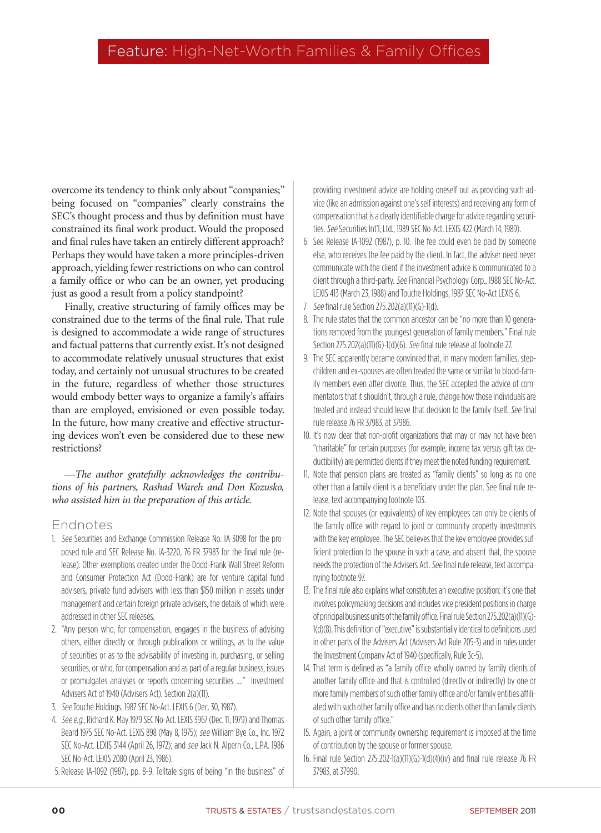overcome its tendency to think only about "companies;" being focused on "companies" clearly constrains the SEC's thought process and thus by definition must have constrained its final work product. Would the proposed and final rules have taken an entirely different approach? Perhaps they would have taken a more principles-driven approach, yielding fewer restrictions on who can control a family office or who can be an owner, yet producing just as good a result from a policy standpoint?

Finally, creative structuring of family offices may be constrained due to the terms of the final rule. That rule is designed to accommodate a wide range of structures and factual patterns that currently exist. It's not designed to accommodate relatively unusual structures that exist today, and certainly not unusual structures to be created in the future, regardless of whether those structures would embody better ways to organize a family's affairs than are employed, envisioned or even possible today. In the future, how many creative and effective structuring devices won't even be considered due to these new restrictions?

—*The author gratefully acknowledges the contributions of his partners, Rashad Wareh and Don Kozusko, who assisted him in the preparation of this article.*

#### Endnotes

- 1. See Securities and Exchange Commission Release No. IA-3098 for the proposed rule and SEC Release No. IA-3220, 76 FR 37983 for the final rule (release). Other exemptions created under the Dodd-Frank Wall Street Reform and Consumer Protection Act (Dodd-Frank) are for venture capital fund advisers, private fund advisers with less than \$150 million in assets under management and certain foreign private advisers, the details of which were addressed in other SEC releases.
- 2. "Any person who, for compensation, engages in the business of advising others, either directly or through publications or writings, as to the value of securities or as to the advisability of investing in, purchasing, or selling securities, or who, for compensation and as part of a regular business, issues or promulgates analyses or reports concerning securities ...." Investment Advisers Act of 1940 (Advisers Act), Section 2(a)(11).
- 3. See Touche Holdings, 1987 SEC No-Act. LEXIS 6 (Dec. 30, 1987).
- 4. See e.g., Richard K. May 1979 SEC No-Act. LEXIS 3967 (Dec. 11, 1979) and Thomas Beard 1975 SEC No-Act. LEXIS 898 (May 8, 1975); see William Bye Co., Inc. 1972 SEC No-Act. LEXIS 3144 (April 26, 1972); and see Jack N. Alpern Co., L.P.A. 1986 SEC No-Act. LEXIS 2080 (April 23, 1986).
- 5.Release IA-1092 (1987), pp. 8-9. Telltale signs of being "in the business" of

providing investment advice are holding oneself out as providing such advice (like an admission against one's self interests) and receiving any form of compensation that is a clearly identifiable charge for advice regarding securities. See Securities Int'l, Ltd., 1989 SEC No-Act. LEXIS 422 (March 14, 1989).

- 6 See Release IA-1092 (1987), p. 10. The fee could even be paid by someone else, who receives the fee paid by the client. In fact, the adviser need never communicate with the client if the investment advice is communicated to a client through a third-party. See Financial Psychology Corp., 1988 SEC No-Act. LEXIS 413 (March 23, 1988) and Touche Holdings, 1987 SEC No-Act LEXIS 6.
- 7 See final rule Section 275.202(a)(11)(G)-1(d).
- 8. The rule states that the common ancestor can be "no more than 10 generations removed from the youngest generation of family members." Final rule Section 275.202(a)(11)(G)-1(d)(6). See final rule release at footnote 27.
- 9. The SEC apparently became convinced that, in many modern families, stepchildren and ex-spouses are often treated the same or similar to blood-family members even after divorce. Thus, the SEC accepted the advice of commentators that it shouldn't, through a rule, change how those individuals are treated and instead should leave that decision to the family itself. See final rule release 76 FR 37983, at 37986.
- 10. It's now clear that non-profit organizations that may or may not have been "charitable" for certain purposes (for example, income tax versus gift tax deductibility) are permitted clients if they meet the noted funding requirement.
- 11. Note that pension plans are treated as "family clients" so long as no one other than a family client is a beneficiary under the plan. See final rule release, text accompanying footnote 103.
- 12. Note that spouses (or equivalents) of key employees can only be clients of the family office with regard to joint or community property investments with the key employee. The SEC believes that the key employee provides sufficient protection to the spouse in such a case, and absent that, the spouse needs the protection of the Advisers Act. See final rule release, text accompanying footnote 97.
- 13. The final rule also explains what constitutes an executive position: it's one that involves policymaking decisions and includes vice president positions in charge of principal business units of the family office. Final rule Section 275.202(a)(11)(G)- 1(d)(8). This definition of "executive" is substantially identical to definitions used in other parts of the Advisers Act (Advisers Act Rule 205-3) and in rules under the Investment Company Act of 1940 (specifically, Rule 3c-5).
- 14. That term is defined as "a family office wholly owned by family clients of another family office and that is controlled (directly or indirectly) by one or more family members of such other family office and/or family entities affiliated with such other family office and has no clients other than family clients of such other family office."
- 15. Again, a joint or community ownership requirement is imposed at the time of contribution by the spouse or former spouse.
- 16. Final rule Section 275.202-1(a)(11)(G)-1(d)(4)(iv) and final rule release 76 FR 37983, at 37990.